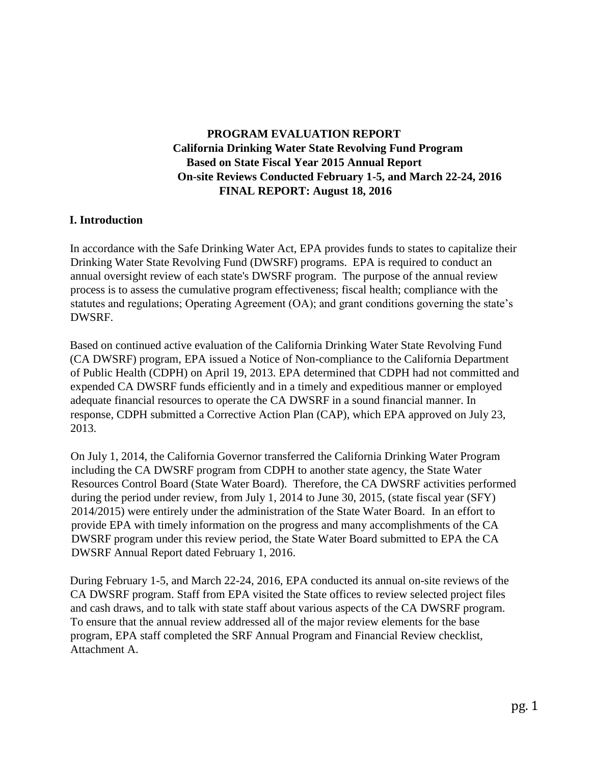# **PROGRAM EVALUATION REPORT California Drinking Water State Revolving Fund Program Based on State Fiscal Year 2015 Annual Report On-site Reviews Conducted February 1-5, and March 22-24, 2016 FINAL REPORT: August 18, 2016**

### **I. Introduction**

In accordance with the Safe Drinking Water Act, EPA provides funds to states to capitalize their Drinking Water State Revolving Fund (DWSRF) programs. EPA is required to conduct an annual oversight review of each state's DWSRF program. The purpose of the annual review process is to assess the cumulative program effectiveness; fiscal health; compliance with the statutes and regulations; Operating Agreement (OA); and grant conditions governing the state's DWSRF.

Based on continued active evaluation of the California Drinking Water State Revolving Fund (CA DWSRF) program, EPA issued a Notice of Non-compliance to the California Department of Public Health (CDPH) on April 19, 2013. EPA determined that CDPH had not committed and expended CA DWSRF funds efficiently and in a timely and expeditious manner or employed adequate financial resources to operate the CA DWSRF in a sound financial manner. In response, CDPH submitted a Corrective Action Plan (CAP), which EPA approved on July 23, 2013.

On July 1, 2014, the California Governor transferred the California Drinking Water Program including the CA DWSRF program from CDPH to another state agency, the State Water Resources Control Board (State Water Board). Therefore, the CA DWSRF activities performed during the period under review, from July 1, 2014 to June 30, 2015, (state fiscal year (SFY) 2014/2015) were entirely under the administration of the State Water Board. In an effort to provide EPA with timely information on the progress and many accomplishments of the CA DWSRF program under this review period, the State Water Board submitted to EPA the CA DWSRF Annual Report dated February 1, 2016.

During February 1-5, and March 22-24, 2016, EPA conducted its annual on-site reviews of the CA DWSRF program. Staff from EPA visited the State offices to review selected project files and cash draws, and to talk with state staff about various aspects of the CA DWSRF program. To ensure that the annual review addressed all of the major review elements for the base program, EPA staff completed the SRF Annual Program and Financial Review checklist, Attachment A.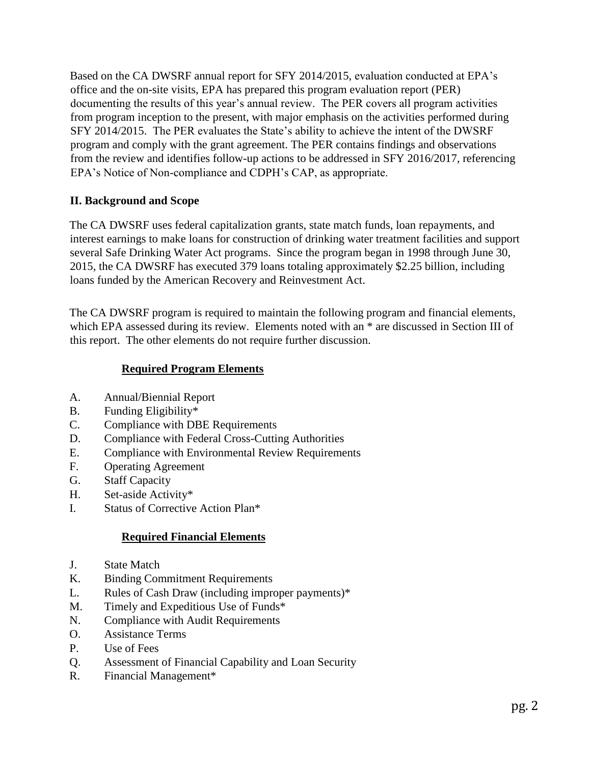Based on the CA DWSRF annual report for SFY 2014/2015, evaluation conducted at EPA's office and the on-site visits, EPA has prepared this program evaluation report (PER) documenting the results of this year's annual review. The PER covers all program activities from program inception to the present, with major emphasis on the activities performed during SFY 2014/2015. The PER evaluates the State's ability to achieve the intent of the DWSRF program and comply with the grant agreement. The PER contains findings and observations from the review and identifies follow-up actions to be addressed in SFY 2016/2017, referencing EPA's Notice of Non-compliance and CDPH's CAP, as appropriate.

# **II. Background and Scope**

The CA DWSRF uses federal capitalization grants, state match funds, loan repayments, and interest earnings to make loans for construction of drinking water treatment facilities and support several Safe Drinking Water Act programs. Since the program began in 1998 through June 30, 2015, the CA DWSRF has executed 379 loans totaling approximately \$2.25 billion, including loans funded by the American Recovery and Reinvestment Act.

The CA DWSRF program is required to maintain the following program and financial elements, which EPA assessed during its review. Elements noted with an  $*$  are discussed in Section III of this report. The other elements do not require further discussion.

## **Required Program Elements**

- A. Annual/Biennial Report
- B. Funding Eligibility\*
- C. Compliance with DBE Requirements
- D. Compliance with Federal Cross-Cutting Authorities
- E. Compliance with Environmental Review Requirements
- F. Operating Agreement
- G. Staff Capacity
- H. Set-aside Activity\*
- I. Status of Corrective Action Plan\*

### **Required Financial Elements**

- J. State Match
- K. Binding Commitment Requirements
- L. Rules of Cash Draw (including improper payments)\*
- M. Timely and Expeditious Use of Funds\*
- N. Compliance with Audit Requirements
- O. Assistance Terms
- P. Use of Fees
- Q. Assessment of Financial Capability and Loan Security
- R. Financial Management\*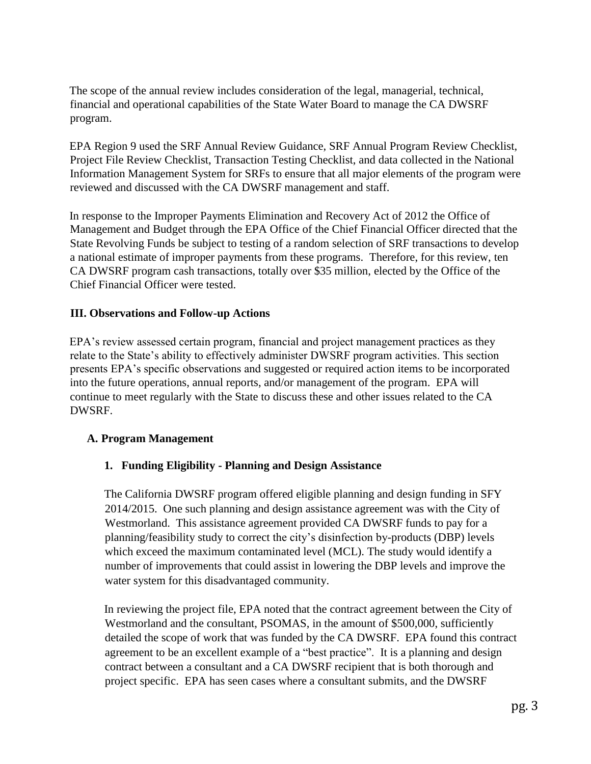The scope of the annual review includes consideration of the legal, managerial, technical, financial and operational capabilities of the State Water Board to manage the CA DWSRF program.

EPA Region 9 used the SRF Annual Review Guidance, SRF Annual Program Review Checklist, Project File Review Checklist, Transaction Testing Checklist, and data collected in the National Information Management System for SRFs to ensure that all major elements of the program were reviewed and discussed with the CA DWSRF management and staff.

In response to the Improper Payments Elimination and Recovery Act of 2012 the Office of Management and Budget through the EPA Office of the Chief Financial Officer directed that the State Revolving Funds be subject to testing of a random selection of SRF transactions to develop a national estimate of improper payments from these programs. Therefore, for this review, ten CA DWSRF program cash transactions, totally over \$35 million, elected by the Office of the Chief Financial Officer were tested.

## **III. Observations and Follow-up Actions**

EPA's review assessed certain program, financial and project management practices as they relate to the State's ability to effectively administer DWSRF program activities. This section presents EPA's specific observations and suggested or required action items to be incorporated into the future operations, annual reports, and/or management of the program. EPA will continue to meet regularly with the State to discuss these and other issues related to the CA DWSRF.

### **A. Program Management**

### **1. Funding Eligibility - Planning and Design Assistance**

The California DWSRF program offered eligible planning and design funding in SFY 2014/2015. One such planning and design assistance agreement was with the City of Westmorland. This assistance agreement provided CA DWSRF funds to pay for a planning/feasibility study to correct the city's disinfection by-products (DBP) levels which exceed the maximum contaminated level (MCL). The study would identify a number of improvements that could assist in lowering the DBP levels and improve the water system for this disadvantaged community.

In reviewing the project file, EPA noted that the contract agreement between the City of Westmorland and the consultant, PSOMAS, in the amount of \$500,000, sufficiently detailed the scope of work that was funded by the CA DWSRF. EPA found this contract agreement to be an excellent example of a "best practice". It is a planning and design contract between a consultant and a CA DWSRF recipient that is both thorough and project specific. EPA has seen cases where a consultant submits, and the DWSRF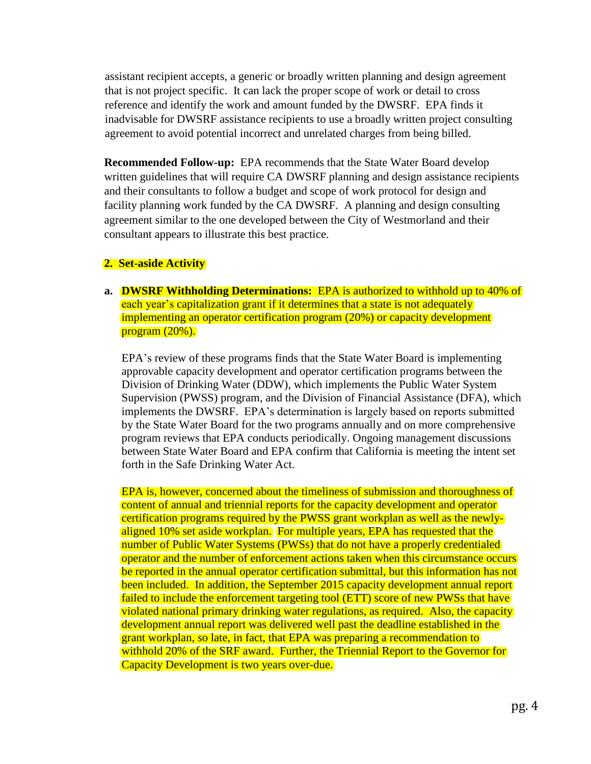assistant recipient accepts, a generic or broadly written planning and design agreement that is not project specific. It can lack the proper scope of work or detail to cross reference and identify the work and amount funded by the DWSRF. EPA finds it inadvisable for DWSRF assistance recipients to use a broadly written project consulting agreement to avoid potential incorrect and unrelated charges from being billed.

**Recommended Follow-up:** EPA recommends that the State Water Board develop written guidelines that will require CA DWSRF planning and design assistance recipients and their consultants to follow a budget and scope of work protocol for design and facility planning work funded by the CA DWSRF. A planning and design consulting agreement similar to the one developed between the City of Westmorland and their consultant appears to illustrate this best practice.

### **2. Set-aside Activity**

**a. DWSRF Withholding Determinations:** EPA is authorized to withhold up to 40% of each year's capitalization grant if it determines that a state is not adequately implementing an operator certification program (20%) or capacity development program (20%).

EPA's review of these programs finds that the State Water Board is implementing approvable capacity development and operator certification programs between the Division of Drinking Water (DDW), which implements the Public Water System Supervision (PWSS) program, and the Division of Financial Assistance (DFA), which implements the DWSRF. EPA's determination is largely based on reports submitted by the State Water Board for the two programs annually and on more comprehensive program reviews that EPA conducts periodically. Ongoing management discussions between State Water Board and EPA confirm that California is meeting the intent set forth in the Safe Drinking Water Act.

EPA is, however, concerned about the timeliness of submission and thoroughness of content of annual and triennial reports for the capacity development and operator certification programs required by the PWSS grant workplan as well as the newlyaligned 10% set aside workplan. For multiple years, EPA has requested that the number of Public Water Systems (PWSs) that do not have a properly credentialed operator and the number of enforcement actions taken when this circumstance occurs be reported in the annual operator certification submittal, but this information has not been included. In addition, the September 2015 capacity development annual report failed to include the enforcement targeting tool (ETT) score of new PWSs that have violated national primary drinking water regulations, as required. Also, the capacity development annual report was delivered well past the deadline established in the grant workplan, so late, in fact, that EPA was preparing a recommendation to withhold 20% of the SRF award. Further, the Triennial Report to the Governor for Capacity Development is two years over-due.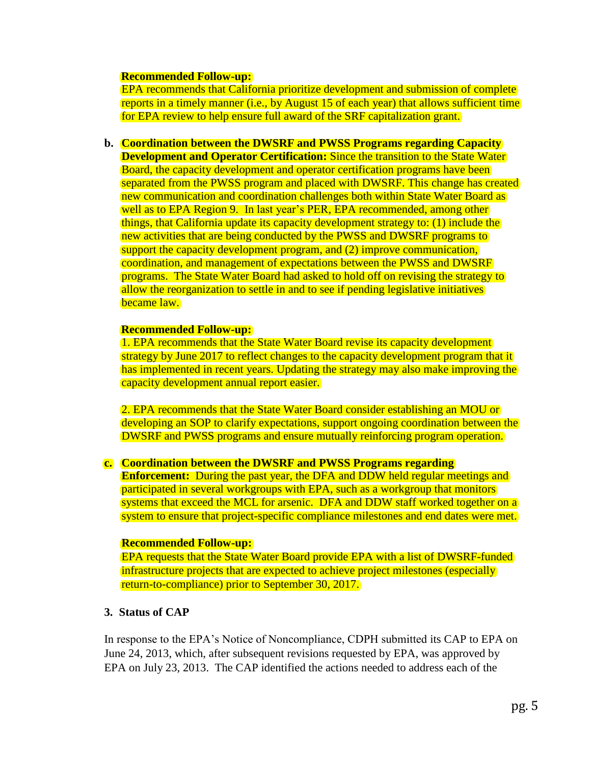#### **Recommended Follow-up:**

EPA recommends that California prioritize development and submission of complete reports in a timely manner (i.e., by August 15 of each year) that allows sufficient time for EPA review to help ensure full award of the SRF capitalization grant.

**b. Coordination between the DWSRF and PWSS Programs regarding Capacity Development and Operator Certification:** Since the transition to the State Water Board, the capacity development and operator certification programs have been separated from the PWSS program and placed with DWSRF. This change has created new communication and coordination challenges both within State Water Board as well as to EPA Region 9. In last year's PER, EPA recommended, among other things, that California update its capacity development strategy to: (1) include the new activities that are being conducted by the PWSS and DWSRF programs to support the capacity development program, and (2) improve communication, coordination, and management of expectations between the PWSS and DWSRF programs. The State Water Board had asked to hold off on revising the strategy to allow the reorganization to settle in and to see if pending legislative initiatives became law.

#### **Recommended Follow-up:**

1. EPA recommends that the State Water Board revise its capacity development strategy by June 2017 to reflect changes to the capacity development program that it has implemented in recent years. Updating the strategy may also make improving the capacity development annual report easier.

2. EPA recommends that the State Water Board consider establishing an MOU or developing an SOP to clarify expectations, support ongoing coordination between the DWSRF and PWSS programs and ensure mutually reinforcing program operation.

#### **c. Coordination between the DWSRF and PWSS Programs regarding**

**Enforcement:** During the past year, the DFA and DDW held regular meetings and participated in several workgroups with EPA, such as a workgroup that monitors systems that exceed the MCL for arsenic. DFA and DDW staff worked together on a system to ensure that project-specific compliance milestones and end dates were met.

#### **Recommended Follow-up:**

EPA requests that the State Water Board provide EPA with a list of DWSRF-funded infrastructure projects that are expected to achieve project milestones (especially return-to-compliance) prior to September 30, 2017.

### **3. Status of CAP**

In response to the EPA's Notice of Noncompliance, CDPH submitted its CAP to EPA on June 24, 2013, which, after subsequent revisions requested by EPA, was approved by EPA on July 23, 2013. The CAP identified the actions needed to address each of the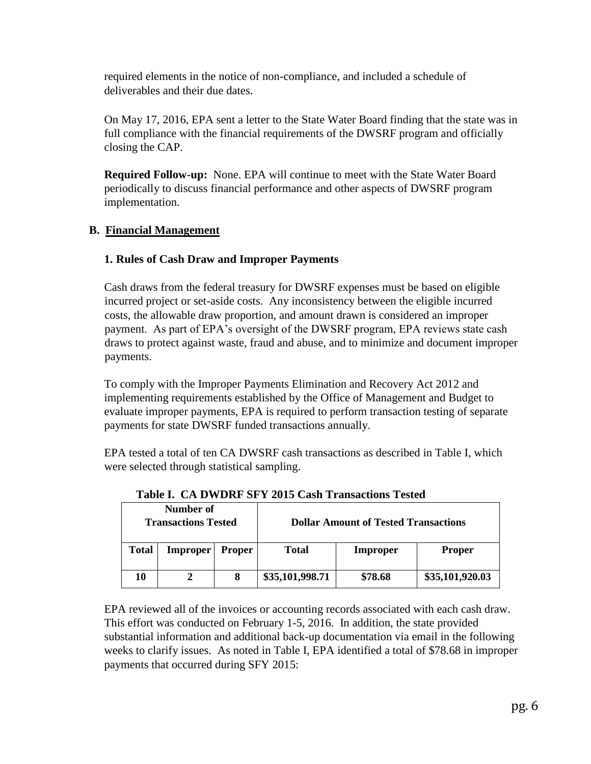required elements in the notice of non-compliance, and included a schedule of deliverables and their due dates.

On May 17, 2016, EPA sent a letter to the State Water Board finding that the state was in full compliance with the financial requirements of the DWSRF program and officially closing the CAP.

**Required Follow-up:** None. EPA will continue to meet with the State Water Board periodically to discuss financial performance and other aspects of DWSRF program implementation.

# **B. Financial Management**

## **1. Rules of Cash Draw and Improper Payments**

Cash draws from the federal treasury for DWSRF expenses must be based on eligible incurred project or set-aside costs. Any inconsistency between the eligible incurred costs, the allowable draw proportion, and amount drawn is considered an improper payment. As part of EPA's oversight of the DWSRF program, EPA reviews state cash draws to protect against waste, fraud and abuse, and to minimize and document improper payments.

To comply with the Improper Payments Elimination and Recovery Act 2012 and implementing requirements established by the Office of Management and Budget to evaluate improper payments, EPA is required to perform transaction testing of separate payments for state DWSRF funded transactions annually.

EPA tested a total of ten CA DWSRF cash transactions as described in Table I, which were selected through statistical sampling.

| THURS IT OIL D'IT D'ISL D'I L'AVIC CHUIL L'IMMUNIQUE L'URUG |                 |               |                                             |          |                 |  |  |  |  |
|-------------------------------------------------------------|-----------------|---------------|---------------------------------------------|----------|-----------------|--|--|--|--|
| Number of<br><b>Transactions Tested</b>                     |                 |               | <b>Dollar Amount of Tested Transactions</b> |          |                 |  |  |  |  |
| <b>Total</b>                                                | <b>Improper</b> | <b>Proper</b> | <b>Total</b>                                | Improper | <b>Proper</b>   |  |  |  |  |
| 10                                                          |                 |               | \$35,101,998.71                             | \$78.68  | \$35,101,920.03 |  |  |  |  |

 **Table I. CA DWDRF SFY 2015 Cash Transactions Tested** 

EPA reviewed all of the invoices or accounting records associated with each cash draw. This effort was conducted on February 1-5, 2016. In addition, the state provided substantial information and additional back-up documentation via email in the following weeks to clarify issues. As noted in Table I, EPA identified a total of \$78.68 in improper payments that occurred during SFY 2015: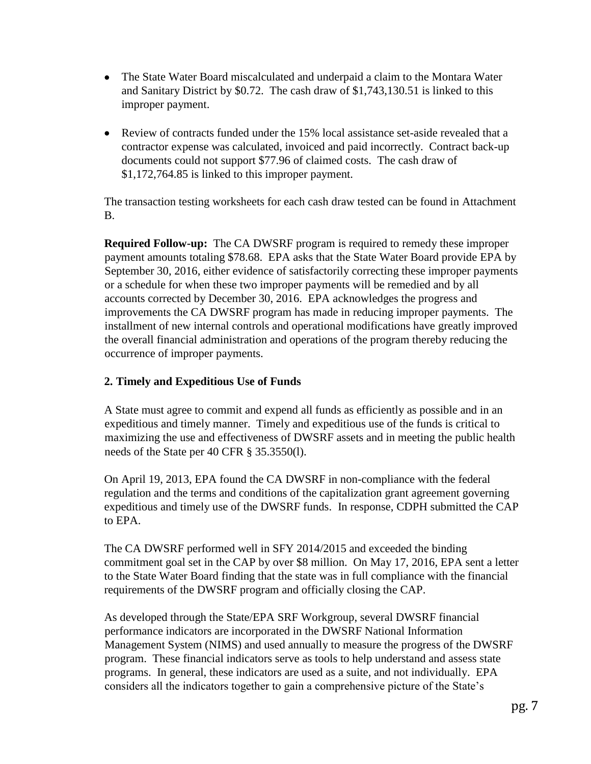- The State Water Board miscalculated and underpaid a claim to the Montara Water and Sanitary District by \$0.72. The cash draw of \$1,743,130.51 is linked to this improper payment.
- Review of contracts funded under the 15% local assistance set-aside revealed that a contractor expense was calculated, invoiced and paid incorrectly. Contract back-up documents could not support \$77.96 of claimed costs. The cash draw of \$1,172,764.85 is linked to this improper payment.

The transaction testing worksheets for each cash draw tested can be found in Attachment B.

**Required Follow-up:** The CA DWSRF program is required to remedy these improper payment amounts totaling \$78.68. EPA asks that the State Water Board provide EPA by September 30, 2016, either evidence of satisfactorily correcting these improper payments or a schedule for when these two improper payments will be remedied and by all accounts corrected by December 30, 2016. EPA acknowledges the progress and improvements the CA DWSRF program has made in reducing improper payments. The installment of new internal controls and operational modifications have greatly improved the overall financial administration and operations of the program thereby reducing the occurrence of improper payments.

## **2. Timely and Expeditious Use of Funds**

A State must agree to commit and expend all funds as efficiently as possible and in an expeditious and timely manner. Timely and expeditious use of the funds is critical to maximizing the use and effectiveness of DWSRF assets and in meeting the public health needs of the State per 40 CFR § 35.3550(l).

On April 19, 2013, EPA found the CA DWSRF in non-compliance with the federal regulation and the terms and conditions of the capitalization grant agreement governing expeditious and timely use of the DWSRF funds. In response, CDPH submitted the CAP to EPA.

The CA DWSRF performed well in SFY 2014/2015 and exceeded the binding commitment goal set in the CAP by over \$8 million. On May 17, 2016, EPA sent a letter to the State Water Board finding that the state was in full compliance with the financial requirements of the DWSRF program and officially closing the CAP.

As developed through the State/EPA SRF Workgroup, several DWSRF financial performance indicators are incorporated in the DWSRF National Information Management System (NIMS) and used annually to measure the progress of the DWSRF program. These financial indicators serve as tools to help understand and assess state programs. In general, these indicators are used as a suite, and not individually. EPA considers all the indicators together to gain a comprehensive picture of the State's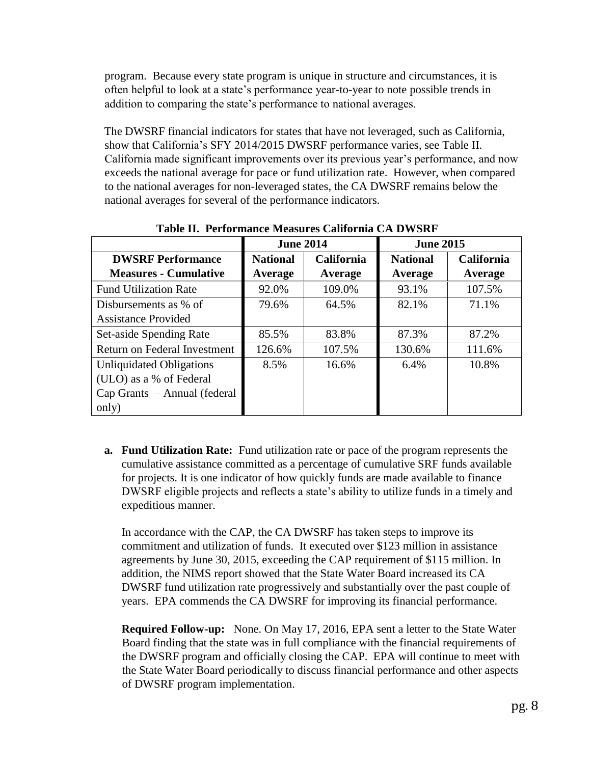program. Because every state program is unique in structure and circumstances, it is often helpful to look at a state's performance year-to-year to note possible trends in addition to comparing the state's performance to national averages.

The DWSRF financial indicators for states that have not leveraged, such as California, show that California's SFY 2014/2015 DWSRF performance varies, see Table II. California made significant improvements over its previous year's performance, and now exceeds the national average for pace or fund utilization rate. However, when compared to the national averages for non-leveraged states, the CA DWSRF remains below the national averages for several of the performance indicators.

|                                  | <b>June 2014</b> |                   | <b>June 2015</b> |                   |
|----------------------------------|------------------|-------------------|------------------|-------------------|
| <b>DWSRF Performance</b>         | <b>National</b>  | <b>California</b> | <b>National</b>  | <b>California</b> |
| <b>Measures - Cumulative</b>     | Average          | Average           | Average          | Average           |
| <b>Fund Utilization Rate</b>     | 92.0%            | 109.0%            | 93.1%            | 107.5%            |
| Disbursements as % of            | 79.6%            | 64.5%             | 82.1%            | 71.1%             |
| <b>Assistance Provided</b>       |                  |                   |                  |                   |
| Set-aside Spending Rate          | 85.5%            | 83.8%             | 87.3%            | 87.2%             |
| Return on Federal Investment     | 126.6%           | 107.5%            | 130.6%           | 111.6%            |
| <b>Unliquidated Obligations</b>  | 8.5%             | 16.6%             | 6.4%             | 10.8%             |
| (ULO) as a % of Federal          |                  |                   |                  |                   |
| $Cap$ Grants $-A$ nnual (federal |                  |                   |                  |                   |
| only)                            |                  |                   |                  |                   |

**Table II. Performance Measures California CA DWSRF** 

**a. Fund Utilization Rate:** Fund utilization rate or pace of the program represents the cumulative assistance committed as a percentage of cumulative SRF funds available for projects. It is one indicator of how quickly funds are made available to finance DWSRF eligible projects and reflects a state's ability to utilize funds in a timely and expeditious manner.

In accordance with the CAP, the CA DWSRF has taken steps to improve its commitment and utilization of funds. It executed over \$123 million in assistance agreements by June 30, 2015, exceeding the CAP requirement of \$115 million. In addition, the NIMS report showed that the State Water Board increased its CA DWSRF fund utilization rate progressively and substantially over the past couple of years. EPA commends the CA DWSRF for improving its financial performance.

**Required Follow-up:** None. On May 17, 2016, EPA sent a letter to the State Water Board finding that the state was in full compliance with the financial requirements of the DWSRF program and officially closing the CAP. EPA will continue to meet with the State Water Board periodically to discuss financial performance and other aspects of DWSRF program implementation.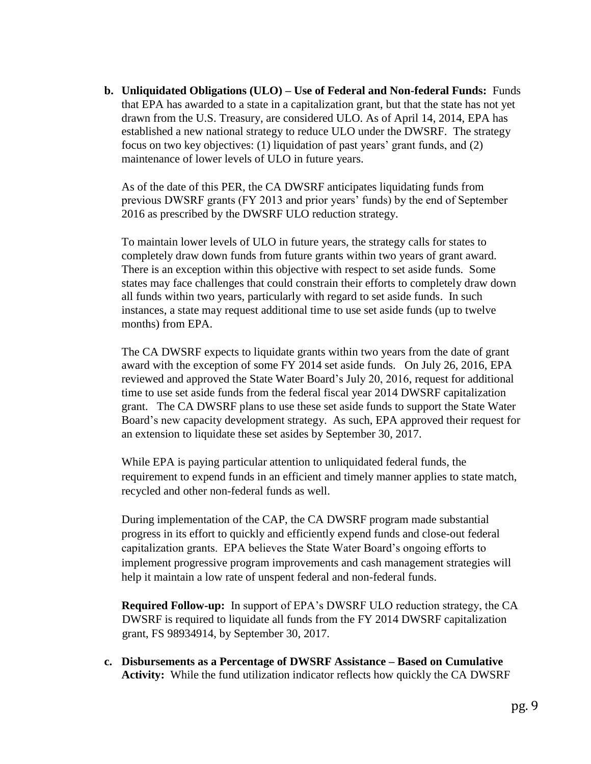**b. Unliquidated Obligations (ULO) – Use of Federal and Non-federal Funds:** Funds that EPA has awarded to a state in a capitalization grant, but that the state has not yet drawn from the U.S. Treasury, are considered ULO. As of April 14, 2014, EPA has established a new national strategy to reduce ULO under the DWSRF. The strategy focus on two key objectives: (1) liquidation of past years' grant funds, and (2) maintenance of lower levels of ULO in future years.

As of the date of this PER, the CA DWSRF anticipates liquidating funds from previous DWSRF grants (FY 2013 and prior years' funds) by the end of September 2016 as prescribed by the DWSRF ULO reduction strategy.

To maintain lower levels of ULO in future years, the strategy calls for states to completely draw down funds from future grants within two years of grant award. There is an exception within this objective with respect to set aside funds. Some states may face challenges that could constrain their efforts to completely draw down all funds within two years, particularly with regard to set aside funds. In such instances, a state may request additional time to use set aside funds (up to twelve months) from EPA.

The CA DWSRF expects to liquidate grants within two years from the date of grant award with the exception of some FY 2014 set aside funds. On July 26, 2016, EPA reviewed and approved the State Water Board's July 20, 2016, request for additional time to use set aside funds from the federal fiscal year 2014 DWSRF capitalization grant. The CA DWSRF plans to use these set aside funds to support the State Water Board's new capacity development strategy. As such, EPA approved their request for an extension to liquidate these set asides by September 30, 2017.

While EPA is paying particular attention to unliquidated federal funds, the requirement to expend funds in an efficient and timely manner applies to state match, recycled and other non-federal funds as well.

During implementation of the CAP, the CA DWSRF program made substantial progress in its effort to quickly and efficiently expend funds and close-out federal capitalization grants. EPA believes the State Water Board's ongoing efforts to implement progressive program improvements and cash management strategies will help it maintain a low rate of unspent federal and non-federal funds.

**Required Follow-up:** In support of EPA's DWSRF ULO reduction strategy, the CA DWSRF is required to liquidate all funds from the FY 2014 DWSRF capitalization grant, FS 98934914, by September 30, 2017.

**c. Disbursements as a Percentage of DWSRF Assistance – Based on Cumulative Activity:** While the fund utilization indicator reflects how quickly the CA DWSRF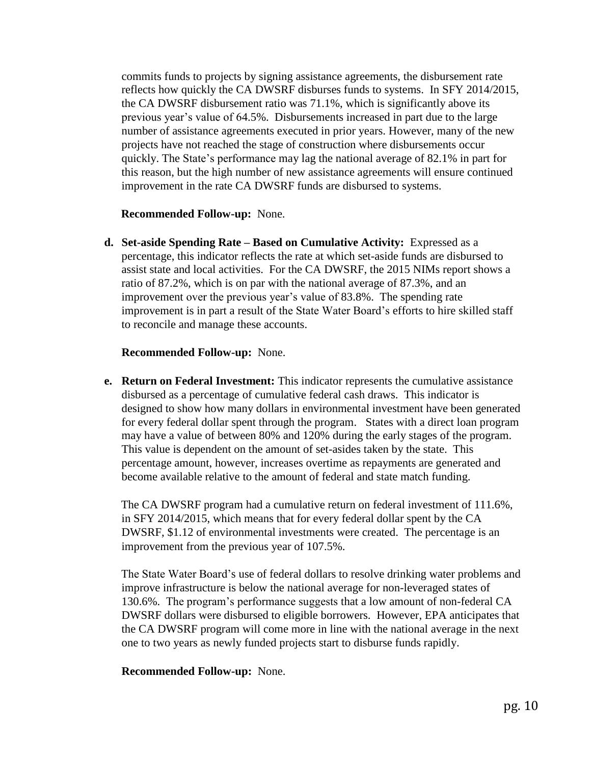commits funds to projects by signing assistance agreements, the disbursement rate reflects how quickly the CA DWSRF disburses funds to systems. In SFY 2014/2015, the CA DWSRF disbursement ratio was 71.1%, which is significantly above its previous year's value of 64.5%. Disbursements increased in part due to the large number of assistance agreements executed in prior years. However, many of the new projects have not reached the stage of construction where disbursements occur quickly. The State's performance may lag the national average of 82.1% in part for this reason, but the high number of new assistance agreements will ensure continued improvement in the rate CA DWSRF funds are disbursed to systems.

#### **Recommended Follow-up:** None.

**d. Set-aside Spending Rate – Based on Cumulative Activity:** Expressed as a percentage, this indicator reflects the rate at which set-aside funds are disbursed to assist state and local activities. For the CA DWSRF, the 2015 NIMs report shows a ratio of 87.2%, which is on par with the national average of 87.3%, and an improvement over the previous year's value of 83.8%. The spending rate improvement is in part a result of the State Water Board's efforts to hire skilled staff to reconcile and manage these accounts.

#### **Recommended Follow-up:** None.

**e. Return on Federal Investment:** This indicator represents the cumulative assistance disbursed as a percentage of cumulative federal cash draws. This indicator is designed to show how many dollars in environmental investment have been generated for every federal dollar spent through the program. States with a direct loan program may have a value of between 80% and 120% during the early stages of the program. This value is dependent on the amount of set-asides taken by the state. This percentage amount, however, increases overtime as repayments are generated and become available relative to the amount of federal and state match funding.

The CA DWSRF program had a cumulative return on federal investment of 111.6%, in SFY 2014/2015, which means that for every federal dollar spent by the CA DWSRF, \$1.12 of environmental investments were created. The percentage is an improvement from the previous year of 107.5%.

The State Water Board's use of federal dollars to resolve drinking water problems and improve infrastructure is below the national average for non-leveraged states of 130.6%. The program's performance suggests that a low amount of non-federal CA DWSRF dollars were disbursed to eligible borrowers. However, EPA anticipates that the CA DWSRF program will come more in line with the national average in the next one to two years as newly funded projects start to disburse funds rapidly.

#### **Recommended Follow-up:** None.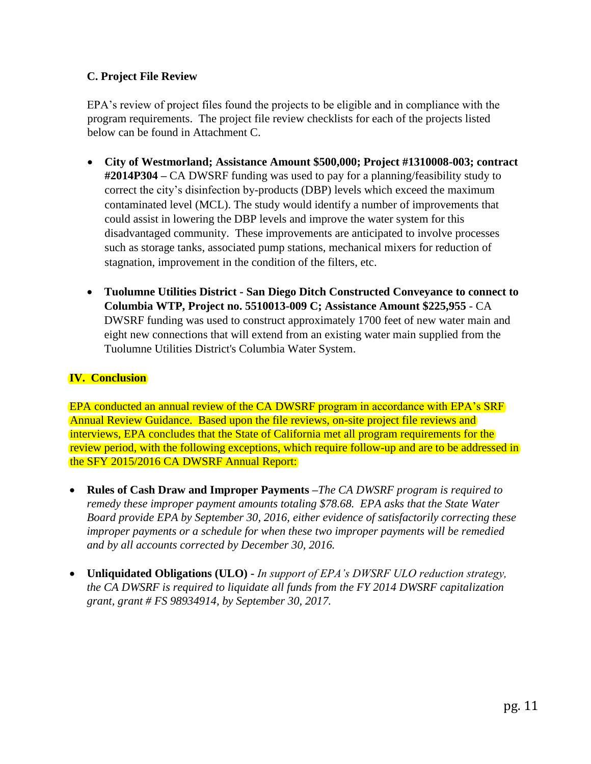## **C. Project File Review**

EPA's review of project files found the projects to be eligible and in compliance with the program requirements. The project file review checklists for each of the projects listed below can be found in Attachment C.

- **City of Westmorland; Assistance Amount \$500,000; Project #1310008-003; contract #2014P304 –** CA DWSRF funding was used to pay for a planning/feasibility study to correct the city's disinfection by-products (DBP) levels which exceed the maximum contaminated level (MCL). The study would identify a number of improvements that could assist in lowering the DBP levels and improve the water system for this disadvantaged community. These improvements are anticipated to involve processes such as storage tanks, associated pump stations, mechanical mixers for reduction of stagnation, improvement in the condition of the filters, etc.
- **Tuolumne Utilities District - San Diego Ditch Constructed Conveyance to connect to Columbia WTP, Project no. 5510013-009 C; Assistance Amount \$225,955** - CA DWSRF funding was used to construct approximately 1700 feet of new water main and eight new connections that will extend from an existing water main supplied from the Tuolumne Utilities District's Columbia Water System.

### **IV. Conclusion**

EPA conducted an annual review of the CA DWSRF program in accordance with EPA's SRF Annual Review Guidance. Based upon the file reviews, on-site project file reviews and interviews, EPA concludes that the State of California met all program requirements for the review period, with the following exceptions, which require follow-up and are to be addressed in the SFY 2015/2016 CA DWSRF Annual Report:

- **Rules of Cash Draw and Improper Payments –***The CA DWSRF program is required to remedy these improper payment amounts totaling \$78.68. EPA asks that the State Water Board provide EPA by September 30, 2016, either evidence of satisfactorily correcting these improper payments or a schedule for when these two improper payments will be remedied and by all accounts corrected by December 30, 2016.*
- **Unliquidated Obligations (ULO) -** *In support of EPA's DWSRF ULO reduction strategy, the CA DWSRF is required to liquidate all funds from the FY 2014 DWSRF capitalization grant, grant # FS 98934914, by September 30, 2017.*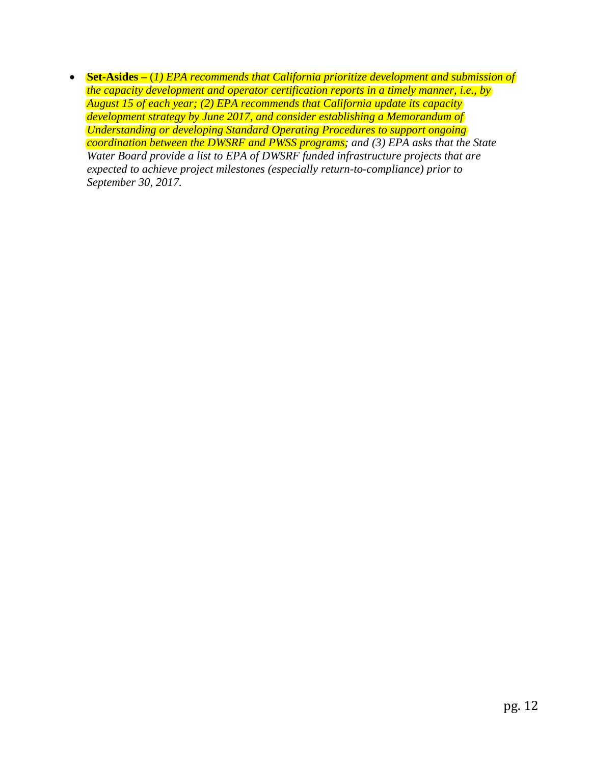**Set-Asides –** (*1) EPA recommends that California prioritize development and submission of the capacity development and operator certification reports in a timely manner, i.e., by August 15 of each year; (2) EPA recommends that California update its capacity development strategy by June 2017, and consider establishing a Memorandum of Understanding or developing Standard Operating Procedures to support ongoing coordination between the DWSRF and PWSS programs; and (3) EPA asks that the State Water Board provide a list to EPA of DWSRF funded infrastructure projects that are expected to achieve project milestones (especially return-to-compliance) prior to September 30, 2017.*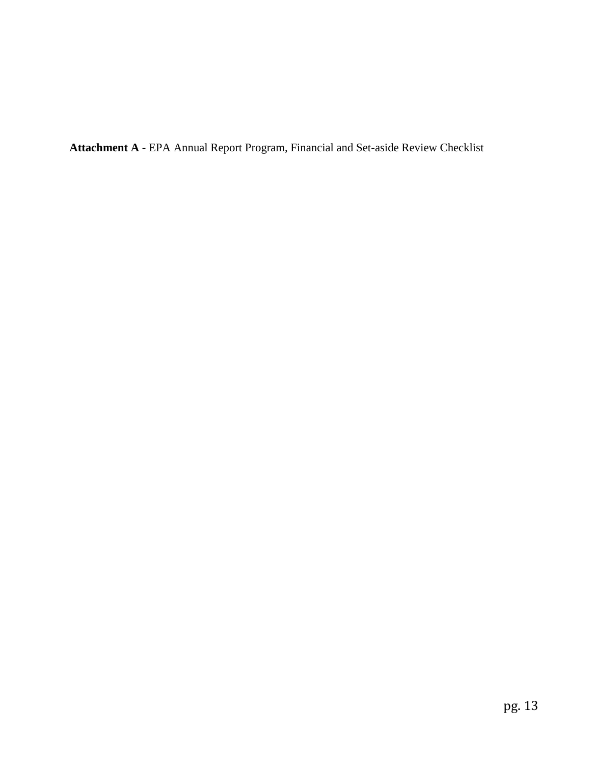**Attachment A -** EPA Annual Report Program, Financial and Set-aside Review Checklist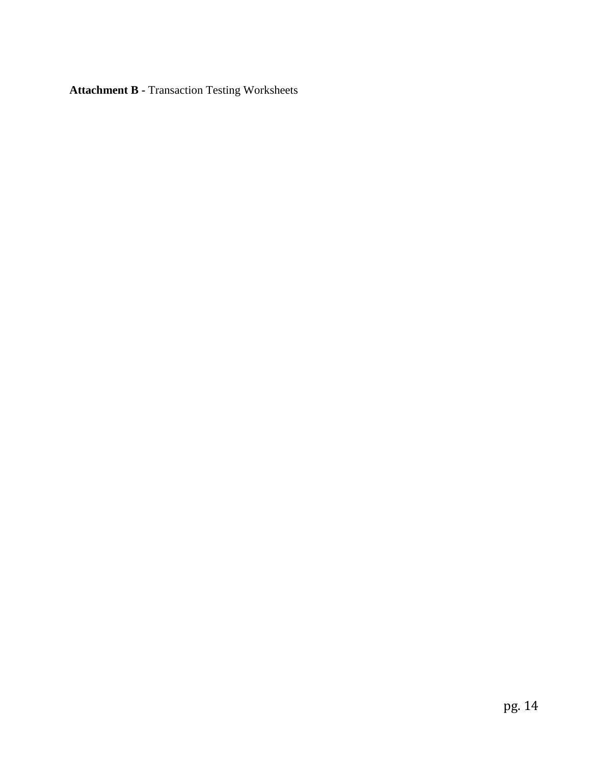**Attachment B -** Transaction Testing Worksheets